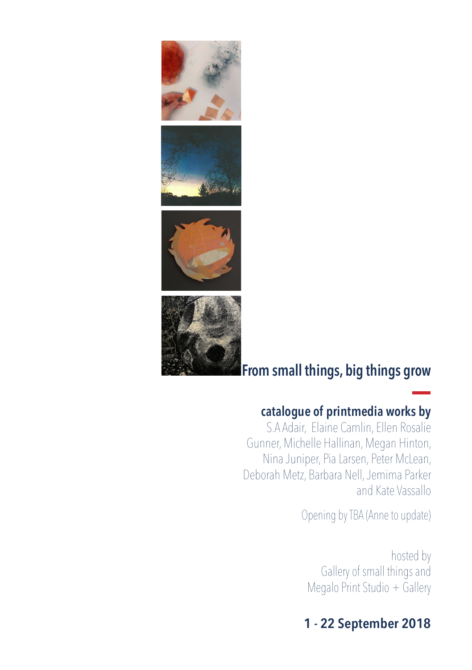







### **catalogue of printmedia works by**

S.A Adair, Elaine Camlin, Ellen Rosalie Gunner, Michelle Hallinan, Megan Hinton, Nina Juniper, Pia Larsen, Peter McLean, Deborah Metz, Barbara Nell, Jemima Parker and Kate Vassallo

Opening by TBA (Anne to update)

hosted by Gallery of small things and Megalo Print Studio + Gallery

# **1 - 22 September 2018**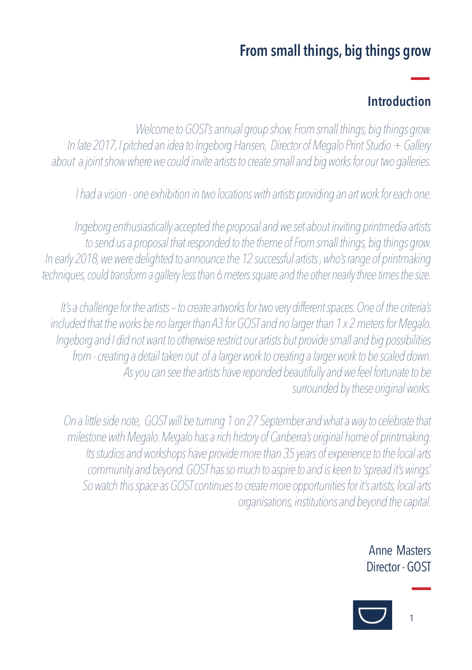# **Introduction**

*Welcome to GOST's annual group show, From small things, big things grow. In late 2017, I pitched an idea to Ingeborg Hansen, Director of Megalo Print Studio + Gallery about a joint show where we could invite artists to create small and big works for our two galleries.*

*I had a vision - one exhibition in two locations with artists providing an art work for each one.*

*Ingeborg enthusiastically accepted the proposal and we set about inviting printmedia artists to send us a proposal that responded to the theme of From small things, big things grow. In early 2018, we were delighted to announce the 12 successful artists , who's range of printmaking techniques, could transform a gallery less than 6 meters square and the other nearly three times the size.*

*It's a challenge for the artists – to create artworks for two very different spaces. One of the criteria's included that the works be no larger than A3 for GOST and no larger than 1 x 2 meters for Megalo. Ingeborg and I did not want to otherwise restrict our artists but provide small and big possibilities from - creating a detail taken out of a larger work to creating a larger work to be scaled down. As you can see the artists have reponded beautifully and we feel fortunate to be surrounded by these original works.* 

 *On a little side note, GOST will be turning 1 on 27 September and what a way to celebrate that milestone with Megalo. Megalo has a rich history of Canberra's original home of printmaking. Its studios and workshops have provide more than 35 years of experience to the local arts community.and beyond. GOST has so much to aspire to and is keen to 'spread it's wings'. So watch this space as GOST continues to create more opportunities for it's artists, local arts organisations, institutions and beyond the capital.* 

> Anne Masters Director - GOST

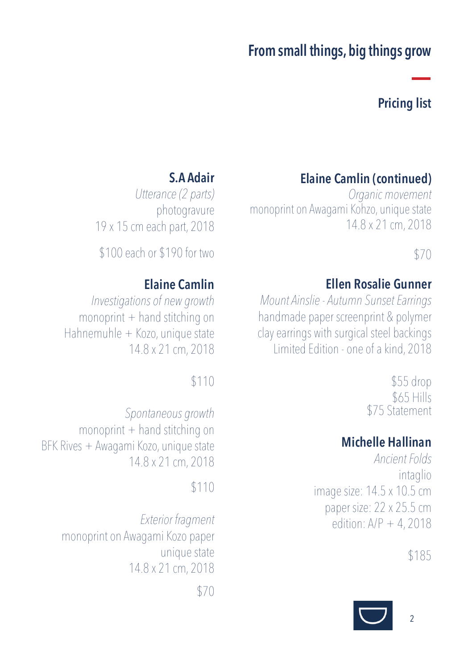## **Pricing list**

# **Elaine Camlin (continued)**

*Organic movement* monoprint on Awagami Kohzo, unique state 14.8 x 21 cm, 2018

## \$70

### **Ellen Rosalie Gunner**

*Mount Ainslie - Autumn Sunset Earrings*  handmade paper screenprint & polymer clay earrings with surgical steel backings Limited Edition - one of a kind, 2018

> \$55 drop \$65 Hills \$75 Statement

## **Michelle Hallinan**

*Ancient Folds*  intaglio image size: 14.5 x 10.5 cm paper size: 22 x 25.5 cm edition: A/P + 4, 2018

\$185



# **S.A Adair**

*Utterance (2 parts)*  photogravure 19 x 15 cm each part, 2018

\$100 each or \$190 for two

## **Elaine Camlin**

*Investigations of new growth*  $monoprint + hand$  stitching on Hahnemuhle + Kozo, unique state 14.8 x 21 cm, 2018

### \$110

*Spontaneous growth* monoprint  $+$  hand stitching on BFK Rives + Awagami Kozo, unique state 14.8 x 21 cm, 2018

#### \$110

*Exterior fragment* monoprint on Awagami Kozo paper unique state 14.8 x 21 cm, 2018 \$70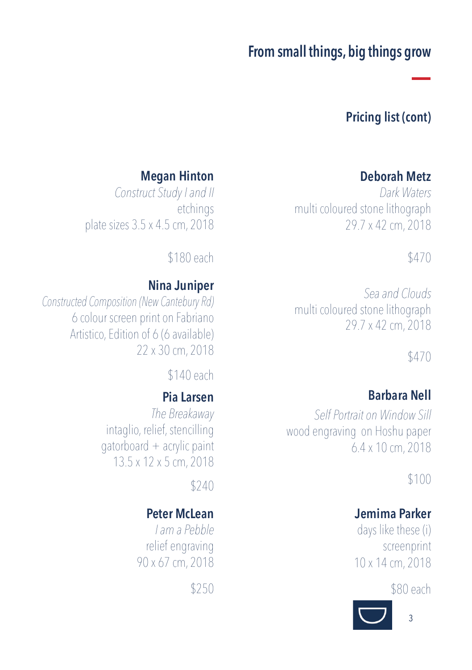## **Pricing list (cont)**

#### **Deborah Metz**

*Dark Waters* multi coloured stone lithograph 29.7 x 42 cm, 2018

#### \$470

*Sea and Clouds* multi coloured stone lithograph 29.7 x 42 cm, 2018

\$470

### **Barbara Nell**

*Self Portrait on Window Sill* wood engraving on Hoshu paper 6.4 x 10 cm, 2018

\$100

### **Jemima Parker**

days like these (i) screenprint 10 x 14 cm, 2018

\$80 each



## **Megan Hinton**

*Construct Study I and II* etchings plate sizes 3.5 x 4.5 cm, 2018

\$180 each

#### **Nina Juniper**

*Constructed Composition (New Cantebury Rd)* 6 colour screen print on Fabriano Artistico, Edition of 6 (6 available) 22 x 30 cm, 2018

\$140 each

#### **Pia Larsen**

*The Breakaway*  intaglio, relief, stencilling gatorboard + acrylic paint 13.5 x 12 x 5 cm, 2018

\$240

### **Peter McLean**

*I am a Pebble*  relief engraving 90 x 67 cm, 2018

\$250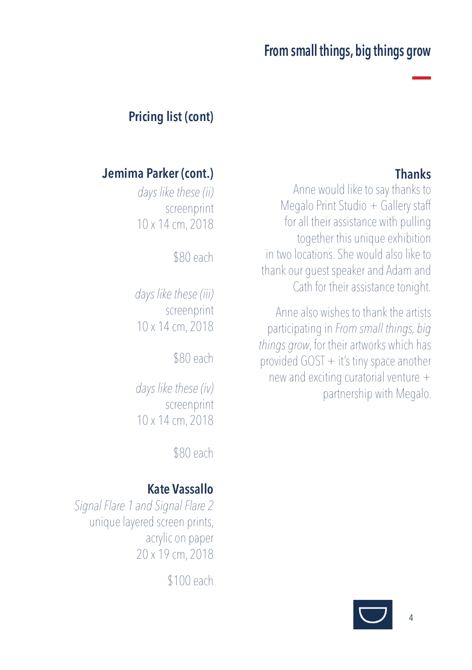# **Pricing list (cont)**

## **Thanks**

Anne would like to say thanks to Megalo Print Studio + Gallery staff for all their assistance with pulling together this unique exhibition in two locations. She would also like to thank our guest speaker and Adam and Cath for their assistance tonight.

Anne also wishes to thank the artists participating in *From small things, big things grow*, for their artworks which has provided GOST + it's tiny space another new and exciting curatorial venture  $+$ partnership with Megalo.

# **Jemima Parker (cont.)**

*days like these (ii)* screenprint 10 x 14 cm, 2018

\$80 each

*days like these (iii)* screenprint 10 x 14 cm, 2018

\$80 each

*days like these (iv)* screenprint 10 x 14 cm, 2018

\$80 each

# **Kate Vassallo**

*Signal Flare 1 and Signal Flare 2*  unique layered screen prints, acrylic on paper 20 x 19 cm, 2018

\$100 each